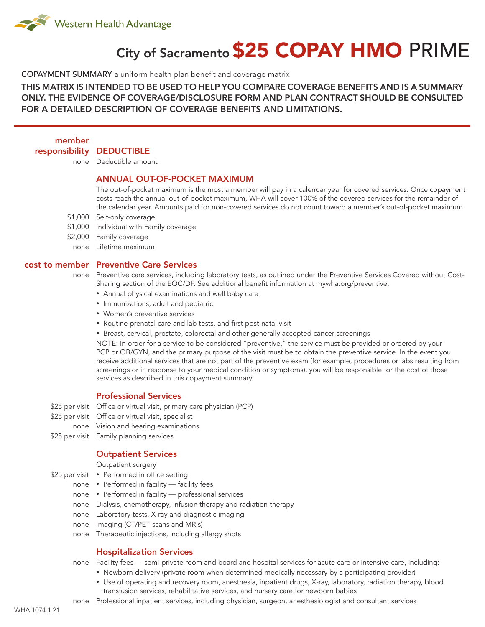

# City of Sacramento \$25 COPAY HMO PRIME

COPAYMENT SUMMARY a uniform health plan benefit and coverage matrix

THIS MATRIX IS INTENDED TO BE USED TO HELP YOU COMPARE COVERAGE BENEFITS AND IS A SUMMARY ONLY. THE EVIDENCE OF COVERAGE/DISCLOSURE FORM AND PLAN CONTRACT SHOULD BE CONSULTED FOR A DETAILED DESCRIPTION OF COVERAGE BENEFITS AND LIMITATIONS.

member

responsibility DEDUCTIBLE

none Deductible amount

# ANNUAL OUT-OF-POCKET MAXIMUM

The out-of-pocket maximum is the most a member will pay in a calendar year for covered services. Once copayment costs reach the annual out-of-pocket maximum, WHA will cover 100% of the covered services for the remainder of the calendar year. Amounts paid for non-covered services do not count toward a member's out-of-pocket maximum.

- \$1,000 Self-only coverage
- \$1,000 Individual with Family coverage
- \$2,000 Family coverage
	- none Lifetime maximum

#### cost to member Preventive Care Services

none Preventive care services, including laboratory tests, as outlined under the Preventive Services Covered without Cost-Sharing section of the EOC/DF. See additional benefit information at mywha.org/preventive.

- Annual physical examinations and well baby care
- • Immunizations, adult and pediatric
- • Women's preventive services
- Routine prenatal care and lab tests, and first post-natal visit
- Breast, cervical, prostate, colorectal and other generally accepted cancer screenings

NOTE: In order for a service to be considered "preventive," the service must be provided or ordered by your PCP or OB/GYN, and the primary purpose of the visit must be to obtain the preventive service. In the event you receive additional services that are not part of the preventive exam (for example, procedures or labs resulting from screenings or in response to your medical condition or symptoms), you will be responsible for the cost of those services as described in this copayment summary.

# Professional Services

\$25 per visit Office or virtual visit, primary care physician (PCP)

- \$25 per visit Office or virtual visit, specialist
- none Vision and hearing examinations
- \$25 per visit Family planning services

#### Outpatient Services

Outpatient surgery

- \$25 per visit Performed in office setting
	- none Performed in facility facility fees
	- none Performed in facility professional services
	- none Dialysis, chemotherapy, infusion therapy and radiation therapy
	- none Laboratory tests, X-ray and diagnostic imaging
	- none Imaging (CT/PET scans and MRIs)
	- none Therapeutic injections, including allergy shots

## Hospitalization Services

none Facility fees — semi-private room and board and hospital services for acute care or intensive care, including:

- Newborn delivery (private room when determined medically necessary by a participating provider)
- • Use of operating and recovery room, anesthesia, inpatient drugs, X-ray, laboratory, radiation therapy, blood transfusion services, rehabilitative services, and nursery care for newborn babies
- none Professional inpatient services, including physician, surgeon, anesthesiologist and consultant services